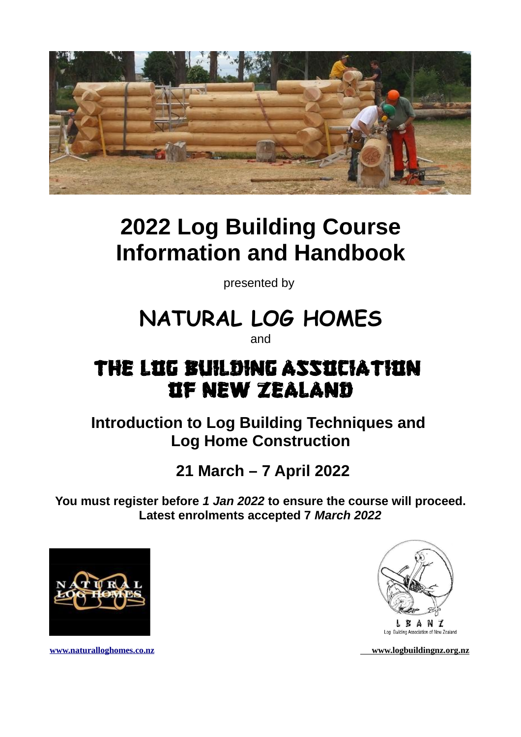

## **2022 Log Building Course Information and Handbook**

presented by

# **NATURAL LOG HOMES**

and

## THE LIG BUILDING ASSICIATIIN OF NEW ZEALAND

**Introduction to Log Building Techniques and Log Home Construction**

## **21 March – 7 April 2022**

**You must register before** *1 Jan 2022* **to ensure the course will proceed. Latest enrolments accepted 7** *March 2022*





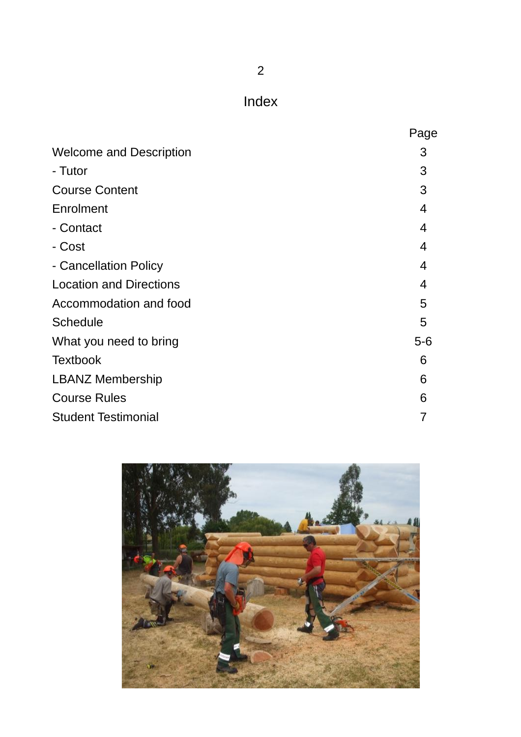Index

|                                | Page  |
|--------------------------------|-------|
| <b>Welcome and Description</b> | 3     |
| - Tutor                        | 3     |
| <b>Course Content</b>          | 3     |
| Enrolment                      | 4     |
| - Contact                      | 4     |
| - Cost                         | 4     |
| - Cancellation Policy          | 4     |
| <b>Location and Directions</b> | 4     |
| Accommodation and food         | 5     |
| Schedule                       | 5     |
| What you need to bring         | $5-6$ |
| <b>Textbook</b>                | 6     |
| <b>LBANZ Membership</b>        | 6     |
| <b>Course Rules</b>            | 6     |
| <b>Student Testimonial</b>     | 7     |

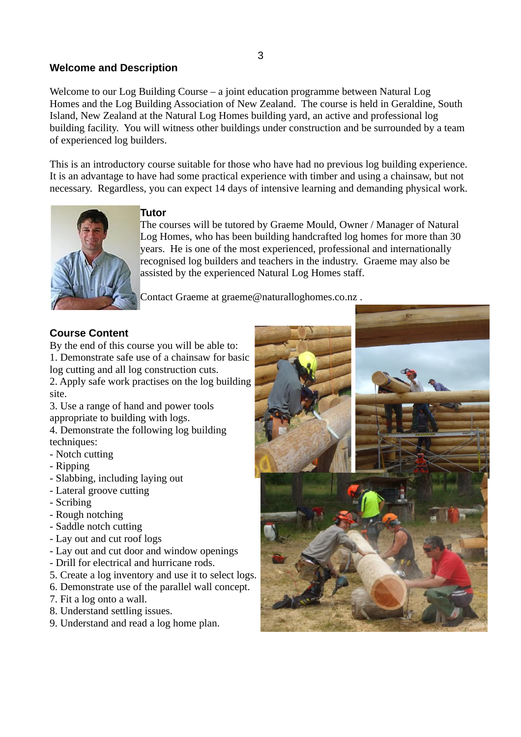#### **Welcome and Description**

Welcome to our Log Building Course – a joint education programme between Natural Log Homes and the Log Building Association of New Zealand. The course is held in Geraldine, South Island, New Zealand at the Natural Log Homes building yard, an active and professional log building facility. You will witness other buildings under construction and be surrounded by a team of experienced log builders.

This is an introductory course suitable for those who have had no previous log building experience. It is an advantage to have had some practical experience with timber and using a chainsaw, but not necessary. Regardless, you can expect 14 days of intensive learning and demanding physical work.



#### **Tutor**

The courses will be tutored by Graeme Mould, Owner / Manager of Natural Log Homes, who has been building handcrafted log homes for more than 30 years. He is one of the most experienced, professional and internationally recognised log builders and teachers in the industry. Graeme may also be assisted by the experienced Natural Log Homes staff.

Contact Graeme at graeme@naturalloghomes.co.nz .

#### **Course Content**

By the end of this course you will be able to: 1. Demonstrate safe use of a chainsaw for basic log cutting and all log construction cuts. 2. Apply safe work practises on the log building site.

3. Use a range of hand and power tools appropriate to building with logs.

4. Demonstrate the following log building techniques:

- Notch cutting
- Ripping
- Slabbing, including laying out
- Lateral groove cutting
- Scribing
- Rough notching
- Saddle notch cutting
- Lay out and cut roof logs
- Lay out and cut door and window openings
- Drill for electrical and hurricane rods.
- 5. Create a log inventory and use it to select logs.
- 6. Demonstrate use of the parallel wall concept.
- 7. Fit a log onto a wall.
- 8. Understand settling issues.
- 9. Understand and read a log home plan.

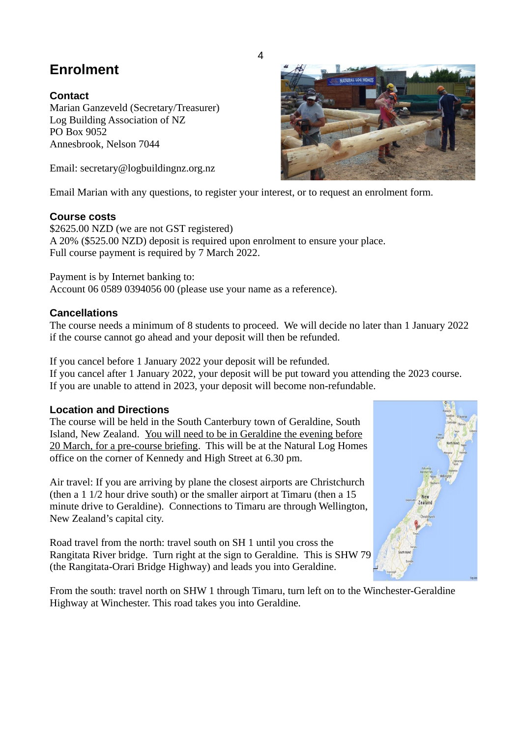### **Enrolment**

#### **Contact**

Marian Ganzeveld (Secretary/Treasurer) Log Building Association of NZ PO Box 9052 Annesbrook, Nelson 7044

Email: secretary@logbuildingnz.org.nz

Email Marian with any questions, to register your interest, or to request an enrolment form.

#### **Course costs**

\$2625.00 NZD (we are not GST registered) A 20% (\$525.00 NZD) deposit is required upon enrolment to ensure your place. Full course payment is required by 7 March 2022.

Payment is by Internet banking to: Account 06 0589 0394056 00 (please use your name as a reference).

#### **Cancellations**

The course needs a minimum of 8 students to proceed. We will decide no later than 1 January 2022 if the course cannot go ahead and your deposit will then be refunded.

If you cancel before 1 January 2022 your deposit will be refunded. If you cancel after 1 January 2022, your deposit will be put toward you attending the 2023 course. If you are unable to attend in 2023, your deposit will become non-refundable.

#### **Location and Directions**

The course will be held in the South Canterbury town of Geraldine, South Island, New Zealand. You will need to be in Geraldine the evening before 20 March, for a pre-course briefing. This will be at the Natural Log Homes office on the corner of Kennedy and High Street at 6.30 pm.

Air travel: If you are arriving by plane the closest airports are Christchurch (then a 1 1/2 hour drive south) or the smaller airport at Timaru (then a 15 minute drive to Geraldine). Connections to Timaru are through Wellington, New Zealand's capital city.

Road travel from the north: travel south on SH 1 until you cross the Rangitata River bridge. Turn right at the sign to Geraldine. This is SHW 79 (the Rangitata-Orari Bridge Highway) and leads you into Geraldine.

From the south: travel north on SHW 1 through Timaru, turn left on to the Winchester-Geraldine Highway at Winchester. This road takes you into Geraldine.





4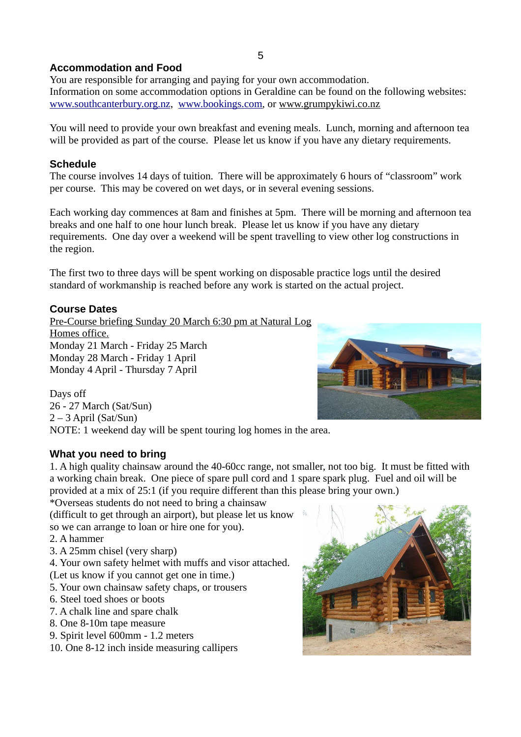#### **Accommodation and Food**

You are responsible for arranging and paying for your own accommodation. Information on some accommodation options in Geraldine can be found on the following websites: www.southcanterbury.org.nz, [www.bookings.com,](http://www.bookings.com/) or www.grumpykiwi.co.nz

You will need to provide your own breakfast and evening meals. Lunch, morning and afternoon tea will be provided as part of the course. Please let us know if you have any dietary requirements.

#### **Schedule**

The course involves 14 days of tuition. There will be approximately 6 hours of "classroom" work per course. This may be covered on wet days, or in several evening sessions.

Each working day commences at 8am and finishes at 5pm. There will be morning and afternoon tea breaks and one half to one hour lunch break. Please let us know if you have any dietary requirements. One day over a weekend will be spent travelling to view other log constructions in the region.

The first two to three days will be spent working on disposable practice logs until the desired standard of workmanship is reached before any work is started on the actual project.

#### **Course Dates**

Pre-Course briefing Sunday 20 March 6:30 pm at Natural Log Homes office. Monday 21 March - Friday 25 March Monday 28 March - Friday 1 April Monday 4 April - Thursday 7 April

Days off 26 - 27 March (Sat/Sun) 2 – 3 April (Sat/Sun) NOTE: 1 weekend day will be spent touring log homes in the area.

#### **What you need to bring**

1. A high quality chainsaw around the 40-60cc range, not smaller, not too big. It must be fitted with a working chain break. One piece of spare pull cord and 1 spare spark plug. Fuel and oil will be provided at a mix of 25:1 (if you require different than this please bring your own.)

\*Overseas students do not need to bring a chainsaw

(difficult to get through an airport), but please let us know so we can arrange to loan or hire one for you).

2. A hammer

- 3. A 25mm chisel (very sharp)
- 4. Your own safety helmet with muffs and visor attached.
- (Let us know if you cannot get one in time.)
- 5. Your own chainsaw safety chaps, or trousers
- 6. Steel toed shoes or boots
- 7. A chalk line and spare chalk
- 8. One 8-10m tape measure
- 9. Spirit level 600mm 1.2 meters
- 10. One 8-12 inch inside measuring callipers



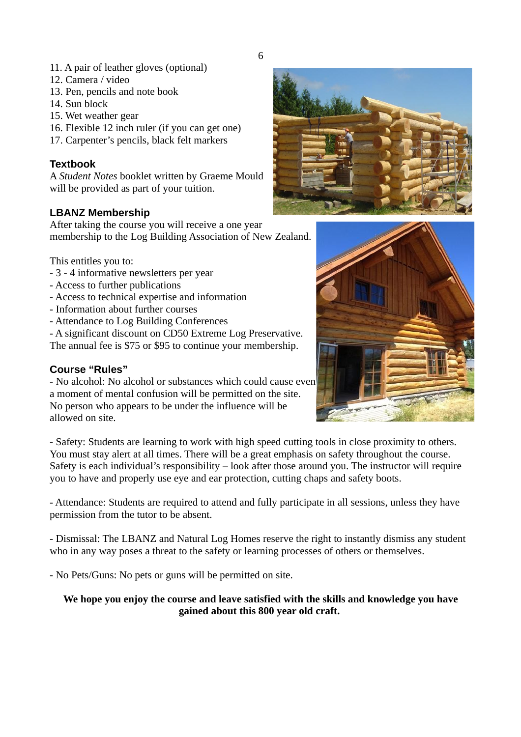- 11. A pair of leather gloves (optional)
- 12. Camera / video
- 13. Pen, pencils and note book
- 14. Sun block
- 15. Wet weather gear
- 16. Flexible 12 inch ruler (if you can get one)
- 17. Carpenter's pencils, black felt markers

#### **Textbook**

A *Student Notes* booklet written by Graeme Mould will be provided as part of your tuition.

#### **LBANZ Membership**

After taking the course you will receive a one year membership to the Log Building Association of New Zealand.

This entitles you to:

- 3 4 informative newsletters per year
- Access to further publications
- Access to technical expertise and information
- Information about further courses
- Attendance to Log Building Conferences

- A significant discount on CD50 Extreme Log Preservative. The annual fee is \$75 or \$95 to continue your membership.

#### **Course "Rules"**

- No alcohol: No alcohol or substances which could cause even a moment of mental confusion will be permitted on the site. No person who appears to be under the influence will be allowed on site.

- Safety: Students are learning to work with high speed cutting tools in close proximity to others. You must stay alert at all times. There will be a great emphasis on safety throughout the course. Safety is each individual's responsibility – look after those around you. The instructor will require you to have and properly use eye and ear protection, cutting chaps and safety boots.

- Attendance: Students are required to attend and fully participate in all sessions, unless they have permission from the tutor to be absent.

- Dismissal: The LBANZ and Natural Log Homes reserve the right to instantly dismiss any student who in any way poses a threat to the safety or learning processes of others or themselves.

- No Pets/Guns: No pets or guns will be permitted on site.

**We hope you enjoy the course and leave satisfied with the skills and knowledge you have gained about this 800 year old craft.**